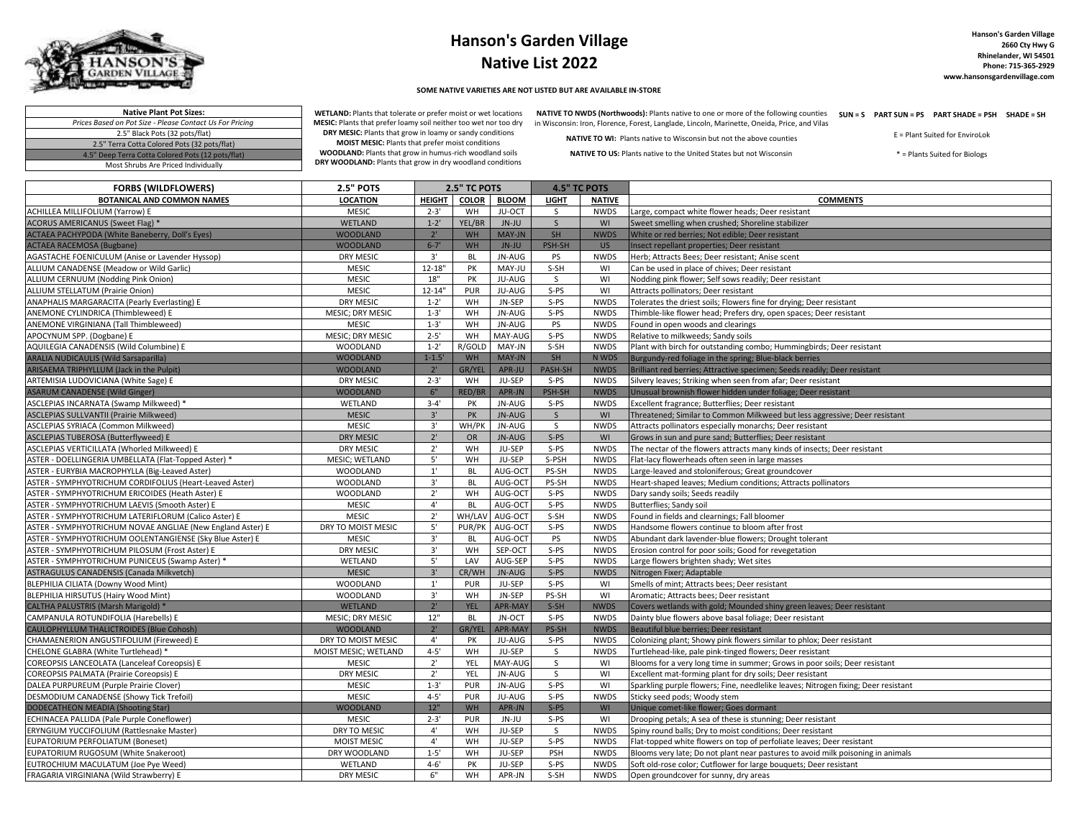

## **Hanson's Garden Village Native List 2022**

## **SOME NATIVE VARIETIES ARE NOT LISTED BUT ARE AVAILABLE IN-STORE**

WETLAND: Plants that tolerate or prefer moist or wet locations NATIVE TO NWDS (Northwoods): Plants native to one or more of the following counties SUN = S PART SUN = PS PART SHADE = PSH SHADE = SH MESIC: Plants that prefer loamy soil neither too wet nor too dry in Wisconsin: Iron, Florence, Forest, Langlade, Lincoln, Marinette, Oneida, Price, and Vilas

**Native Plant Pot Sizes:** *Prices Based on Pot Size - Please Contact Us For Pricing* 2.5" Black Pots (32 pots/flat) 2.5" Terra Cotta Colored Pots (32 pots/flat) 4.5" Deep Terra Cotta Colored Pots (12 pots/flat) Most Shrubs Are Priced Individually

**DRY MESIC:** Plants that grow in loamy or sandy conditions **MOIST MESIC:** Plants that prefer moist conditions

**WOODLAND:** Plants that grow in humus-rich woodland soils **DRY WOODLAND:** Plants that grow in dry woodland conditions **NATIVE TO WI:** Plants native to Wisconsin but not the above counties **NATIVE TO US:** Plants native to the United States but not Wisconsin

E = Plant Suited for EnviroLok \* = Plants Suited for Biologs

| <b>FORBS (WILDFLOWERS)</b>                                 | <b>2.5" POTS</b>     | 2.5" TC POTS  |               | <b>4.5" TC POTS</b> |              |               |                                                                                    |
|------------------------------------------------------------|----------------------|---------------|---------------|---------------------|--------------|---------------|------------------------------------------------------------------------------------|
| BOTANICAL AND COMMON NAMES                                 | <b>LOCATION</b>      | <b>HEIGHT</b> | <b>COLOR</b>  | <b>BLOOM</b>        | <b>LIGHT</b> | <b>NATIVE</b> | <b>COMMENTS</b>                                                                    |
| ACHILLEA MILLIFOLIUM (Yarrow) E                            | <b>MESIC</b>         | $2 - 3'$      | WH            | JU-OCT              | S.           | <b>NWDS</b>   | Large, compact white flower heads; Deer resistant                                  |
| <b>ACORUS AMERICANUS (Sweet Flag) *</b>                    | <b>WETLAND</b>       | $1 - 2'$      | YEL/BR        | JN-JU               | $\mathsf{S}$ | WI            | Sweet smelling when crushed; Shoreline stabilizer                                  |
| ACTAEA PACHYPODA (White Baneberry, Doll's Eyes)            | <b>WOODLAND</b>      | 2'            | WH            | MAY-JN              | SH           | <b>NWDS</b>   | White or red berries; Not edible; Deer resistant                                   |
| <b>ACTAEA RACEMOSA (Bugbane)</b>                           | <b>WOODLAND</b>      | $6 - 7'$      | <b>WH</b>     | JN-JU               | PSH-SH       | US.           | Insect repellant properties; Deer resistant                                        |
| <b>AGASTACHE FOENICULUM (Anise or Lavender Hyssop)</b>     | <b>DRY MESIC</b>     | 3'            | <b>BL</b>     | JN-AUG              | PS           | <b>NWDS</b>   | Herb; Attracts Bees; Deer resistant; Anise scent                                   |
| ALLIUM CANADENSE (Meadow or Wild Garlic)                   | <b>MESIC</b>         | $12 - 18"$    | PK            | MAY-JU              | S-SH         | WI            | Can be used in place of chives; Deer resistant                                     |
| ALLIUM CERNUUM (Nodding Pink Onion)                        | <b>MESIC</b>         | $18"$         | PK            | JU-AUG              | S            | WI            | Nodding pink flower; Self sows readily; Deer resistant                             |
| <b>ALLIUM STELLATUM (Prairie Onion)</b>                    | <b>MESIC</b>         | 12-14"        | PUR           | JU-AUG              | S-PS         | WI            | Attracts pollinators; Deer resistant                                               |
| ANAPHALIS MARGARACITA (Pearly Everlasting) E               | <b>DRY MESIC</b>     | $1 - 2'$      | WH            | JN-SEP              | $S-PS$       | <b>NWDS</b>   | Tolerates the driest soils; Flowers fine for drying; Deer resistant                |
| ANEMONE CYLINDRICA (Thimbleweed) E                         | MESIC; DRY MESIC     | $1 - 3'$      | WH            | JN-AUG              | $S-PS$       | <b>NWDS</b>   | Thimble-like flower head; Prefers dry, open spaces; Deer resistant                 |
| ANEMONE VIRGINIANA (Tall Thimbleweed)                      | <b>MESIC</b>         | $1 - 3'$      | WH            | JN-AUG              | PS           | <b>NWDS</b>   | Found in open woods and clearings                                                  |
| APOCYNUM SPP. (Dogbane) E                                  | MESIC; DRY MESIC     | $2 - 5'$      | WH            | MAY-AUG             | $S-PS$       | <b>NWDS</b>   | Relative to milkweeds; Sandy soils                                                 |
| AQUILEGIA CANADENSIS (Wild Columbine) E                    | <b>WOODLAND</b>      | $1 - 2'$      | R/GOLD        | MAY-JN              | S-SH         | <b>NWDS</b>   | Plant with birch for outstanding combo; Hummingbirds; Deer resistant               |
| <b>ARALIA NUDICAULIS (Wild Sarsaparilla)</b>               | <b>WOODLAND</b>      | $1 - 1.5'$    | WH            | MAY-JN              | SH           | N WDS         | Burgundy-red foliage in the spring; Blue-black berries                             |
| ARISAEMA TRIPHYLLUM (Jack in the Pulpit)                   | <b>WOODLAND</b>      | $2^{\circ}$   | GR/YEL        | APR-JU              | PASH-SH      | <b>NWDS</b>   | Brilliant red berries; Attractive specimen; Seeds readily; Deer resistant          |
| ARTEMISIA LUDOVICIANA (White Sage) E                       | <b>DRY MESIC</b>     | $2 - 3'$      | WH            | JU-SEP              | $S-PS$       | <b>NWDS</b>   | Silvery leaves; Striking when seen from afar; Deer resistant                       |
| <b>ASARUM CANADENSE (Wild Ginger)</b>                      | <b>WOODLAND</b>      | 6"            | RED/BR        | APR-JN              | PSH-SH       | <b>NWDS</b>   | Unusual brownish flower hidden under foliage; Deer resistant                       |
| ASCLEPIAS INCARNATA (Swamp Milkweed) *                     | WETLAND              | $3 - 4'$      | PK            | JN-AUG              | $S-PS$       | <b>NWDS</b>   | Excellent fragrance; Butterflies; Deer resistant                                   |
| ASCLEPIAS SULLVANTII (Prairie Milkweed)                    | <b>MESIC</b>         | 3'            | PK            | JN-AUG              | $\mathsf{S}$ | WI            | Threatened; Similar to Common Milkweed but less aggressive; Deer resistant         |
| ASCLEPIAS SYRIACA (Common Milkweed)                        | <b>MESIC</b>         | 3'            | WH/PK         | JN-AUG              | S.           | <b>NWDS</b>   | Attracts pollinators especially monarchs; Deer resistant                           |
| ASCLEPIAS TUBEROSA (Butterflyweed) E                       | <b>DRY MESIC</b>     | $2^{\prime}$  | <b>OR</b>     | JN-AUG              | $S-PS$       | WI            | Grows in sun and pure sand; Butterflies; Deer resistant                            |
| ASCLEPIAS VERTICILLATA (Whorled Milkweed) E                | DRY MESIC            | 2'            | WH            | JU-SEP              | $S-PS$       | <b>NWDS</b>   | The nectar of the flowers attracts many kinds of insects; Deer resistant           |
| ASTER - DOELLINGERIA UMBELLATA (Flat-Topped Aster) *       | MESIC; WETLAND       | $5'$          | WH            | JU-SEP              | S-PSH        | <b>NWDS</b>   | Flat-lacy flowerheads often seen in large masses                                   |
| ASTER - EURYBIA MACROPHYLLA (Big-Leaved Aster)             | <b>WOODLAND</b>      | $1^{\prime}$  | <b>BL</b>     | AUG-OCT             | PS-SH        | <b>NWDS</b>   | Large-leaved and stoloniferous; Great groundcover                                  |
| ASTER - SYMPHYOTRICHUM CORDIFOLIUS (Heart-Leaved Aster)    | <b>WOODLAND</b>      | 3'            | <b>BL</b>     | AUG-OCT             | PS-SH        | <b>NWDS</b>   | Heart-shaped leaves; Medium conditions; Attracts pollinators                       |
| ASTER - SYMPHYOTRICHUM ERICOIDES (Heath Aster) E           | <b>WOODLAND</b>      | 2'            | WH            | AUG-OCT             | S-PS         | <b>NWDS</b>   | Dary sandy soils; Seeds readily                                                    |
| ASTER - SYMPHYOTRICHUM LAEVIS (Smooth Aster) E             | <b>MESIC</b>         | 4'            | <b>BL</b>     | AUG-OCT             | $S-PS$       | <b>NWDS</b>   | Butterflies; Sandy soil                                                            |
| ASTER - SYMPHYOTRICHUM LATERIFLORUM (Calico Aster) E       | <b>MESIC</b>         | 2'            | WH/LAV        | AUG-OCT             | S-SH         | <b>NWDS</b>   | Found in fields and clearnings; Fall bloomer                                       |
| ASTER - SYMPHYOTRICHUM NOVAE ANGLIAE (New England Aster) E | DRY TO MOIST MESIC   | 5'            | PUR/PK        | AUG-OCT             | $S-PS$       | <b>NWDS</b>   | Handsome flowers continue to bloom after frost                                     |
| ASTER - SYMPHYOTRICHUM OOLENTANGIENSE (Sky Blue Aster) E   | <b>MESIC</b>         | $3'$          | BL            | AUG-OCT             | PS           | <b>NWDS</b>   | Abundant dark lavender-blue flowers; Drought tolerant                              |
| ASTER - SYMPHYOTRICHUM PILOSUM (Frost Aster) E             | <b>DRY MESIC</b>     | 3'            | WH            | SEP-OCT             | S-PS         | <b>NWDS</b>   | Erosion control for poor soils; Good for revegetation                              |
| ASTER - SYMPHYOTRICHUM PUNICEUS (Swamp Aster) *            | WETLAND              | $5^{\circ}$   | LAV           | AUG-SEP             | S-PS         | <b>NWDS</b>   | Large flowers brighten shady; Wet sites                                            |
| ASTRAGULUS CANADENSIS (Canada Milkvetch)                   | <b>MESIC</b>         | 3'            | CR/WH         | JN-AUG              | $S-PS$       | <b>NWDS</b>   | Nitrogen Fixer; Adaptable                                                          |
| BLEPHILIA CILIATA (Downy Wood Mint)                        | <b>WOODLAND</b>      | $1^{\prime}$  | <b>PUR</b>    | JU-SEP              | S-PS         | WI            | Smells of mint; Attracts bees; Deer resistant                                      |
| BLEPHILIA HIRSUTUS (Hairy Wood Mint)                       | WOODLAND             | $3'$          | WH            | JN-SEP              | PS-SH        | WI            | Aromatic; Attracts bees; Deer resistant                                            |
| CALTHA PALUSTRIS (Marsh Marigold) *                        | <b>WETLAND</b>       | 2'            | <b>YEL</b>    | <b>APR-MAY</b>      | $S-SH$       | <b>NWDS</b>   | Covers wetlands with gold; Mounded shiny green leaves; Deer resistant              |
| CAMPANULA ROTUNDIFOLIA (Harebells) E                       | MESIC; DRY MESIC     | $12"$         | <b>BL</b>     | JN-OCT              | S-PS         | <b>NWDS</b>   | Dainty blue flowers above basal foliage; Deer resistant                            |
| CAULOPHYLLUM THALICTROIDES (Blue Cohosh)                   | <b>WOODLAND</b>      | $2^{\circ}$   | <b>GR/YEL</b> | <b>APR-MAY</b>      | PS-SH        | <b>NWDS</b>   | Beautiful blue berries; Deer resistant                                             |
| CHAMAENERION ANGUSTIFOLIUM (Fireweed) E                    | DRY TO MOIST MESIC   | $4^{\circ}$   | PK            | JU-AUG              | $S-PS$       | <b>NWDS</b>   | Colonizing plant; Showy pink flowers similar to phlox; Deer resistant              |
| CHELONE GLABRA (White Turtlehead) *                        | MOIST MESIC; WETLAND | $4 - 5'$      | WH            | JU-SEP              | S.           | <b>NWDS</b>   | Turtlehead-like, pale pink-tinged flowers; Deer resistant                          |
| COREOPSIS LANCEOLATA (Lanceleaf Coreopsis) E               | <b>MESIC</b>         | $2^{\circ}$   | YEL           | MAY-AUG             | S            | WI            | Blooms for a very long time in summer; Grows in poor soils; Deer resistant         |
| COREOPSIS PALMATA (Prairie Coreopsis) E                    | <b>DRY MESIC</b>     | 2'            | YEL           | JN-AUG              | $\mathsf{S}$ | WI            | Excellent mat-forming plant for dry soils; Deer resistant                          |
| DALEA PURPUREUM (Purple Prairie Clover)                    | <b>MESIC</b>         | $1 - 3'$      | PUR           | JN-AUG              | $S-PS$       | WI            | Sparkling purple flowers; Fine, needlelike leaves; Nitrogen fixing; Deer resistant |
| DESMODIUM CANADENSE (Showy Tick Trefoil)                   | <b>MESIC</b>         | $4 - 5'$      | PUR           | JU-AUG              | S-PS         | <b>NWDS</b>   | Sticky seed pods; Woody stem                                                       |
| DODECATHEON MEADIA (Shooting Star)                         | <b>WOODLAND</b>      | $12"$         | WH            | APR-JN              | $S-PS$       | WI            | Unique comet-like flower; Goes dormant                                             |
| ECHINACEA PALLIDA (Pale Purple Coneflower)                 | <b>MESIC</b>         | $2 - 3'$      | PUR           | JN-JU               | $S-PS$       | WI            | Drooping petals; A sea of these is stunning; Deer resistant                        |
| ERYNGIUM YUCCIFOLIUM (Rattlesnake Master)                  | DRY TO MESIC         | $4^{\prime}$  | WH            | JU-SEP              | S            | <b>NWDS</b>   | Spiny round balls; Dry to moist conditions; Deer resistant                         |
| <b>EUPATORIUM PERFOLIATUM (Boneset)</b>                    | <b>MOIST MESIC</b>   | 4'            | WH            | JU-SEP              | S-PS         | <b>NWDS</b>   | Flat-topped white flowers on top of perfoliate leaves; Deer resistant              |
| EUPATORIUM RUGOSUM (White Snakeroot)                       | DRY WOODLAND         | $1 - 5'$      | WH            | JU-SEP              | PSH          | <b>NWDS</b>   | Blooms very late; Do not plant near pastures to avoid milk poisoning in animals    |
| EUTROCHIUM MACULATUM (Joe Pye Weed)                        | WETLAND              | $4 - 6'$      | <b>PK</b>     | JU-SEP              | S-PS         | <b>NWDS</b>   | Soft old-rose color; Cutflower for large bouquets; Deer resistant                  |
| FRAGARIA VIRGINIANA (Wild Strawberry) E                    | DRY MESIC            | 6"            | WH            | APR-JN              | S-SH         | <b>NWDS</b>   | Open groundcover for sunny, dry areas                                              |
|                                                            |                      |               |               |                     |              |               |                                                                                    |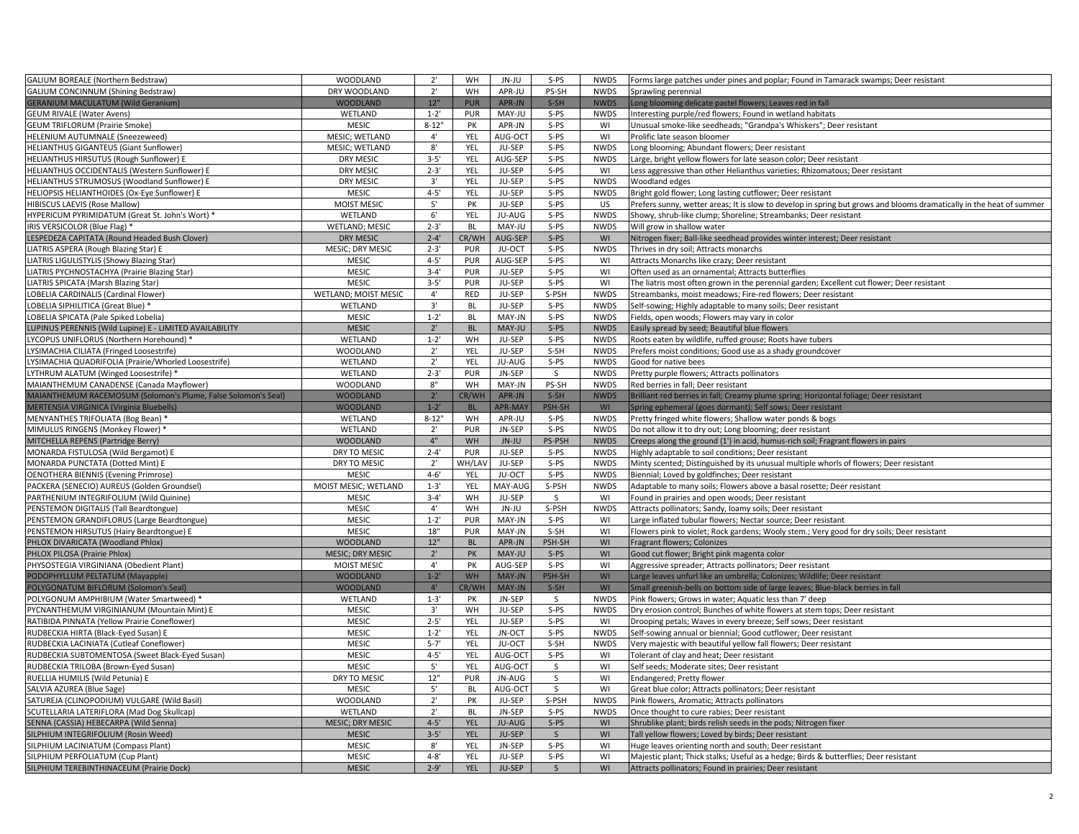| <b>GALIUM BOREALE (Northern Bedstraw)</b>                               | <b>WOODLAND</b>         | $2^{\prime}$ | <b>WH</b>  | JN-JU             | $S-PS$       | <b>NWDS</b> | Forms large patches under pines and poplar; Found in Tamarack swamps; Deer resistant                                 |
|-------------------------------------------------------------------------|-------------------------|--------------|------------|-------------------|--------------|-------------|----------------------------------------------------------------------------------------------------------------------|
| <b>GALIUM CONCINNUM (Shining Bedstraw)</b>                              | DRY WOODLAND            | $2^{\prime}$ | WH         | APR-JU            | PS-SH        | <b>NWDS</b> | Sprawling perennial                                                                                                  |
| <b>GERANIUM MACULATUM (Wild Geranium)</b>                               | <b>WOODLAND</b>         | $12"$        | <b>PUR</b> | APR-JN            | $S-SH$       | <b>NWDS</b> | Long blooming delicate pastel flowers; Leaves red in fall                                                            |
| <b>GEUM RIVALE (Water Avens)</b>                                        | WETLAND                 | $1 - 2'$     | PUR        | MAY-JU            | $S-PS$       | <b>NWDS</b> | Interesting purple/red flowers; Found in wetland habitats                                                            |
| <b>GEUM TRIFLORUM (Prairie Smoke)</b>                                   | <b>MESIC</b>            | $8 - 12"$    | PK         | APR-JN            | $S-PS$       | WI          | Unusual smoke-like seedheads; "Grandpa's Whiskers"; Deer resistant                                                   |
|                                                                         | MESIC; WETLAND          | $4^{\prime}$ | YEL        |                   | S-PS         | WI          | Prolific late season bloomer                                                                                         |
| HELENIUM AUTUMNALE (Sneezeweed)                                         | MESIC; WETLAND          | $8^\circ$    | YEL        | AUG-OCT<br>JU-SEP | S-PS         | <b>NWDS</b> |                                                                                                                      |
| HELIANTHUS GIGANTEUS (Giant Sunflower)                                  |                         |              |            |                   |              |             | Long blooming; Abundant flowers; Deer resistant                                                                      |
| HELIANTHUS HIRSUTUS (Rough Sunflower) E                                 | <b>DRY MESIC</b>        | $3 - 5'$     | YEL        | AUG-SEP           | $S-PS$       | <b>NWDS</b> | Large, bright yellow flowers for late season color; Deer resistant                                                   |
| HELIANTHUS OCCIDENTALIS (Western Sunflower) E                           | <b>DRY MESIC</b>        | $2 - 3'$     | YEL        | JU-SEP            | $S-PS$       | WI          | Less aggressive than other Helianthus varieties; Rhizomatous; Deer resistant                                         |
| HELIANTHUS STRUMOSUS (Woodland Sunflower) E                             | <b>DRY MESIC</b>        | 3'           | YEL        | JU-SEP            | $S-PS$       | <b>NWDS</b> | Woodland edges                                                                                                       |
| HELIOPSIS HELIANTHOIDES (Ox-Eye Sunflower) E                            | <b>MESIC</b>            | $4 - 5'$     | YEL        | JU-SEP            | S-PS         | <b>NWDS</b> | Bright gold flower; Long lasting cutflower; Deer resistant                                                           |
| HIBISCUS LAEVIS (Rose Mallow)                                           | <b>MOIST MESIC</b>      | 5'           | PK         | JU-SEP            | $S-PS$       | <b>US</b>   | Prefers sunny, wetter areas; It is slow to develop in spring but grows and blooms dramatically in the heat of summer |
| HYPERICUM PYRIMIDATUM (Great St. John's Wort) *                         | WETLAND                 | 6'           | YEL        | JU-AUG            | $S-PS$       | <b>NWDS</b> | Showy, shrub-like clump; Shoreline; Streambanks; Deer resistant                                                      |
| IRIS VERSICOLOR (Blue Flag) *                                           | <b>WETLAND; MESIC</b>   | $2 - 3'$     | <b>BL</b>  | MAY-JU            | S-PS         | <b>NWDS</b> | Will grow in shallow water                                                                                           |
| LESPEDEZA CAPITATA (Round Headed Bush Clover)                           | <b>DRY MESIC</b>        | $2 - 4'$     | CR/WH      | AUG-SEP           | $S-PS$       | WI          | Nitrogen fixer; Ball-like seedhead provides winter interest; Deer resistant                                          |
| LIATRIS ASPERA (Rough Blazing Star) E                                   | <b>MESIC; DRY MESIC</b> | $2 - 3'$     | PUR        | JU-OCT            | $S-PS$       | <b>NWDS</b> | Thrives in dry soil; Attracts monarchs                                                                               |
| LIATRIS LIGULISTYLIS (Showy Blazing Star)                               | <b>MESIC</b>            | $4 - 5'$     | PUR        | AUG-SEP           | S-PS         | WI          | Attracts Monarchs like crazy; Deer resistant                                                                         |
| LIATRIS PYCHNOSTACHYA (Prairie Blazing Star)                            | <b>MESIC</b>            | $3 - 4'$     | PUR        | JU-SEP            | S-PS         | WI          | Often used as an ornamental; Attracts butterflies                                                                    |
| LIATRIS SPICATA (Marsh Blazing Star)                                    | MESIC                   | $3 - 5'$     | PUR        | JU-SEP            | $S-PS$       | WI          | The liatris most often grown in the perennial garden; Excellent cut flower; Deer resistant                           |
| LOBELIA CARDINALIS (Cardinal Flower)                                    | WETLAND; MOIST MESIC    | $4^{\prime}$ | RED        | JU-SEP            | S-PSH        | <b>NWDS</b> | Streambanks, moist meadows; Fire-red flowers; Deer resistant                                                         |
| LOBELIA SIPHILITICA (Great Blue) *                                      | WETLAND                 | $3'$         | BL         | JU-SEP            | S-PS         | <b>NWDS</b> | Self-sowing; Highly adaptable to many soils; Deer resistant                                                          |
| LOBELIA SPICATA (Pale Spiked Lobelia)                                   | MESIC                   | $1 - 2'$     | <b>BL</b>  | MAY-JN            | $S-PS$       | <b>NWDS</b> | Fields, open woods; Flowers may vary in color                                                                        |
| LUPINUS PERENNIS (Wild Lupine) E - LIMITED AVAILABILITY                 | <b>MESIC</b>            | $2^{\circ}$  | <b>BL</b>  | MAY-JU            | $S-PS$       | <b>NWDS</b> | Easily spread by seed; Beautiful blue flowers                                                                        |
| LYCOPUS UNIFLORUS (Northern Horehound) *                                | WETLAND                 | $1 - 2'$     | WH         | JU-SEP            | $S-PS$       | <b>NWDS</b> | Roots eaten by wildlife, ruffed grouse; Roots have tubers                                                            |
| LYSIMACHIA CILIATA (Fringed Loosestrife)                                | <b>WOODLAND</b>         | $2^{\prime}$ | YEL        | JU-SEP            | S-SH         | <b>NWDS</b> | Prefers moist conditions; Good use as a shady groundcover                                                            |
| YSIMACHIA QUADRIFOLIA (Prairie/Whorled Loosestrife)                     | WETLAND                 | $2^{\circ}$  | YEL        | JU-AUG            | S-PS         | <b>NWDS</b> | Good for native bees                                                                                                 |
| LYTHRUM ALATUM (Winged Loosestrife) *                                   | WETLAND                 | $2 - 3'$     | PUR        | JN-SEP            | S.           | <b>NWDS</b> | Pretty purple flowers; Attracts pollinators                                                                          |
| MAIANTHEMUM CANADENSE (Canada Mayflower)                                | <b>WOODLAND</b>         | 8"           | WH         | MAY-JN            | PS-SH        | <b>NWDS</b> | Red berries in fall; Deer resistant                                                                                  |
| MAIANTHEMUM RACEMOSUM (Solomon's Plume, False Solomon's Seal)           | <b>WOODLAND</b>         | 2'           | CR/WH      | APR-JN            | $S-SH$       | <b>NWDS</b> | Brilliant red berries in fall; Creamy plume spring; Horizontal foliage; Deer resistant                               |
| MERTENSIA VIRGINICA (Virginia Bluebells)                                | <b>WOODLAND</b>         | $1 - 2'$     | <b>BL</b>  | <b>APR-MAY</b>    | PSH-SH       | WI          | Spring ephemeral (goes dormant); Self sows; Deer resistant                                                           |
| MENYANTHES TRIFOLIATA (Bog Bean) *                                      | WETLAND                 | $8 - 12$     | WH         | APR-JU            | S-PS         | <b>NWDS</b> | Pretty fringed white flowers; Shallow water ponds & bogs                                                             |
| MIMULUS RINGENS (Monkey Flower) *                                       | WETLAND                 | $2^{\circ}$  | PUR        | JN-SEP            | S-PS         | <b>NWDS</b> | Do not allow it to dry out; Long blooming; deer resistant                                                            |
| MITCHELLA REPENS (Partridge Berry)                                      | <b>WOODLAND</b>         | 4"           | WH         | JN-JU             | PS-PSH       | <b>NWDS</b> | Creeps along the ground (1') in acid, humus-rich soil; Fragrant flowers in pairs                                     |
|                                                                         | DRY TO MESIC            | $2 - 4'$     | PUR        | JU-SEP            | $S-PS$       | <b>NWDS</b> |                                                                                                                      |
| MONARDA FISTULOSA (Wild Bergamot) E<br>MONARDA PUNCTATA (Dotted Mint) E | DRY TO MESIC            | $2^{\prime}$ | WH/LAV     | JU-SEP            | $S-PS$       | <b>NWDS</b> | Highly adaptable to soil conditions; Deer resistant                                                                  |
|                                                                         | MESIC                   | $4 - 6'$     | YEL        | JU-OCT            | $S-PS$       | <b>NWDS</b> | Minty scented; Distinguished by its unusual multiple whorls of flowers; Deer resistant                               |
| <b>OENOTHERA BIENNIS (Evening Primrose)</b>                             | MOIST MESIC; WETLAND    | $1 - 3'$     | YEL        | MAY-AUG           | S-PSH        | <b>NWDS</b> | Biennial; Loved by goldfinches; Deer resistant                                                                       |
| PACKERA (SENECIO) AUREUS (Golden Groundsel)                             |                         | $3 - 4'$     |            |                   |              |             | Adaptable to many soils; Flowers above a basal rosette; Deer resistant                                               |
| PARTHENIUM INTEGRIFOLIUM (Wild Quinine)                                 | <b>MESIC</b>            |              | WH         | JU-SEP            | S            | WI          | Found in prairies and open woods; Deer resistant                                                                     |
| PENSTEMON DIGITALIS (Tall Beardtongue)                                  | <b>MESIC</b>            | $4^{\circ}$  | WH         | JN-JU             | S-PSH        | <b>NWDS</b> | Attracts pollinators; Sandy, loamy soils; Deer resistant                                                             |
| PENSTEMON GRANDIFLORUS (Large Beardtongue)                              | <b>MESIC</b>            | $1 - 2'$     | PUR        | MAY-JN            | $S-PS$       | WI          | Large inflated tubular flowers; Nectar source; Deer resistant                                                        |
| PENSTEMON HIRSUTUS (Hairy Beardtongue) E                                | <b>MESIC</b>            | 18"          | PUR        | MAY-JN            | $S-SH$       | WI          | Flowers pink to violet; Rock gardens; Wooly stem.; Very good for dry soils; Deer resistant                           |
| PHLOX DIVARICATA (Woodland Phlox)                                       | <b>WOODLAND</b>         | 12"          | <b>BL</b>  | APR-JN            | PSH-SH       | WI          | Fragrant flowers; Colonizes                                                                                          |
| PHLOX PILOSA (Prairie Phlox)                                            | MESIC; DRY MESIC        | $2^{\prime}$ | PK         | MAY-JU            | $S-PS$       | WI          | Good cut flower; Bright pink magenta color                                                                           |
| PHYSOSTEGIA VIRGINIANA (Obedient Plant)                                 | <b>MOIST MESIC</b>      | $4^{\circ}$  | PK         | AUG-SEP           | $S-PS$       | WI          | Aggressive spreader; Attracts pollinators; Deer resistant                                                            |
| PODOPHYLLUM PELTATUM (Mayapple)                                         | <b>WOODLAND</b>         | $1 - 2'$     | WH         | MAY-JN            | PSH-SH       | WI          | Large leaves unfurl like an umbrella; Colonizes; Wildlife; Deer resistant                                            |
| POLYGONATUM BIFLORUM (Solomon's Seal                                    | <b>WOODLAND</b>         | $4^{\circ}$  | CR/WH      | MAY-JN            | $S-SH$       | WI          | Small greenish-bells on bottom side of large leaves; Blue-black berries in fall                                      |
| POLYGONUM AMPHIBIUM (Water Smartweed) *                                 | WETLAND                 | $1 - 3'$     | PK         | JN-SEP            | S.           | <b>NWDS</b> | Pink flowers; Grows in water; Aquatic less than 7' deep                                                              |
| PYCNANTHEMUM VIRGINIANUM (Mountain Mint) E                              | <b>MESIC</b>            | 3'           | WH         | JU-SEP            | S-PS         | <b>NWDS</b> | Dry erosion control; Bunches of white flowers at stem tops; Deer resistant                                           |
| RATIBIDA PINNATA (Yellow Prairie Coneflower)                            | <b>MESIC</b>            | $2 - 5'$     | YEL        | JU-SEP            | $S-PS$       | WI          | Drooping petals; Waves in every breeze; Self sows; Deer resistant                                                    |
| RUDBECKIA HIRTA (Black-Eyed Susan) E                                    | <b>MESIC</b>            | $1 - 2'$     | YEL        | JN-OCT            | $S-PS$       | <b>NWDS</b> | Self-sowing annual or biennial; Good cutflower; Deer resistant                                                       |
| RUDBECKIA LACINIATA (Cutleaf Coneflower)                                | <b>MESIC</b>            | $5 - 7'$     | YEL        | JU-OCT            | S-SH         | <b>NWDS</b> | Very majestic with beautiful yellow fall flowers; Deer resistant                                                     |
| RUDBECKIA SUBTOMENTOSA (Sweet Black-Eyed Susan)                         | <b>MESIC</b>            | $4 - 5'$     | YEL        | AUG-OCT           | $S-PS$       | WI          | Tolerant of clay and heat; Deer resistant                                                                            |
| RUDBECKIA TRILOBA (Brown-Eyed Susan)                                    | <b>MESIC</b>            | $5^{\circ}$  | YEL        | AUG-OCT           | S            | WI          | Self seeds; Moderate sites; Deer resistant                                                                           |
| RUELLIA HUMILIS (Wild Petunia) E                                        | DRY TO MESIC            | $12"$        | PUR        | JN-AUG            | S            | WI          | Endangered; Pretty flower                                                                                            |
| SALVIA AZUREA (Blue Sage)                                               | <b>MESIC</b>            | 5'           | <b>BL</b>  | AUG-OCT           | S            | WI          | Great blue color; Attracts pollinators; Deer resistant                                                               |
| SATUREJA (CLINOPODIUM) VULGARE (Wild Basil)                             | <b>WOODLAND</b>         | $2^{\circ}$  | PK         | JU-SEP            | S-PSH        | <b>NWDS</b> | Pink flowers, Aromatic; Attracts pollinators                                                                         |
| SCUTELLARIA LATERIFLORA (Mad Dog Skullcap)                              | WETLAND                 | $2^{\circ}$  | BL         | JN-SEP            | $S-PS$       | <b>NWDS</b> | Once thought to cure rabies; Deer resistant                                                                          |
| SENNA (CASSIA) HEBECARPA (Wild Senna)                                   | MESIC; DRY MESIC        | $4 - 5'$     | YEL        | JU-AUG            | $S-PS$       | WI          | Shrublike plant; birds relish seeds in the pods; Nitrogen fixer                                                      |
| SILPHIUM INTEGRIFOLIUM (Rosin Weed)                                     | <b>MESIC</b>            | $3 - 5'$     | YEL        | JU-SEP            | $\mathsf{S}$ | WI          | Tall yellow flowers; Loved by birds; Deer resistant                                                                  |
| SILPHIUM LACINIATUM (Compass Plant)                                     | <b>MESIC</b>            | 8'           | YEL        | JN-SEP            | $S-PS$       | WI          | Huge leaves orienting north and south; Deer resistant                                                                |
| SILPHIUM PERFOLIATUM (Cup Plant)                                        | <b>MESIC</b>            | $4 - 8'$     | YEL        | JU-SEP            | $S-PS$       | WI          | Majestic plant; Thick stalks; Useful as a hedge; Birds & butterflies; Deer resistant                                 |
| SILPHIUM TEREBINTHINACEUM (Prairie Dock)                                | <b>MESIC</b>            | $2 - 9'$     | <b>YEL</b> | JU-SEP            | $\mathsf S$  | WI          | Attracts pollinators; Found in prairies; Deer resistant                                                              |
|                                                                         |                         |              |            |                   |              |             |                                                                                                                      |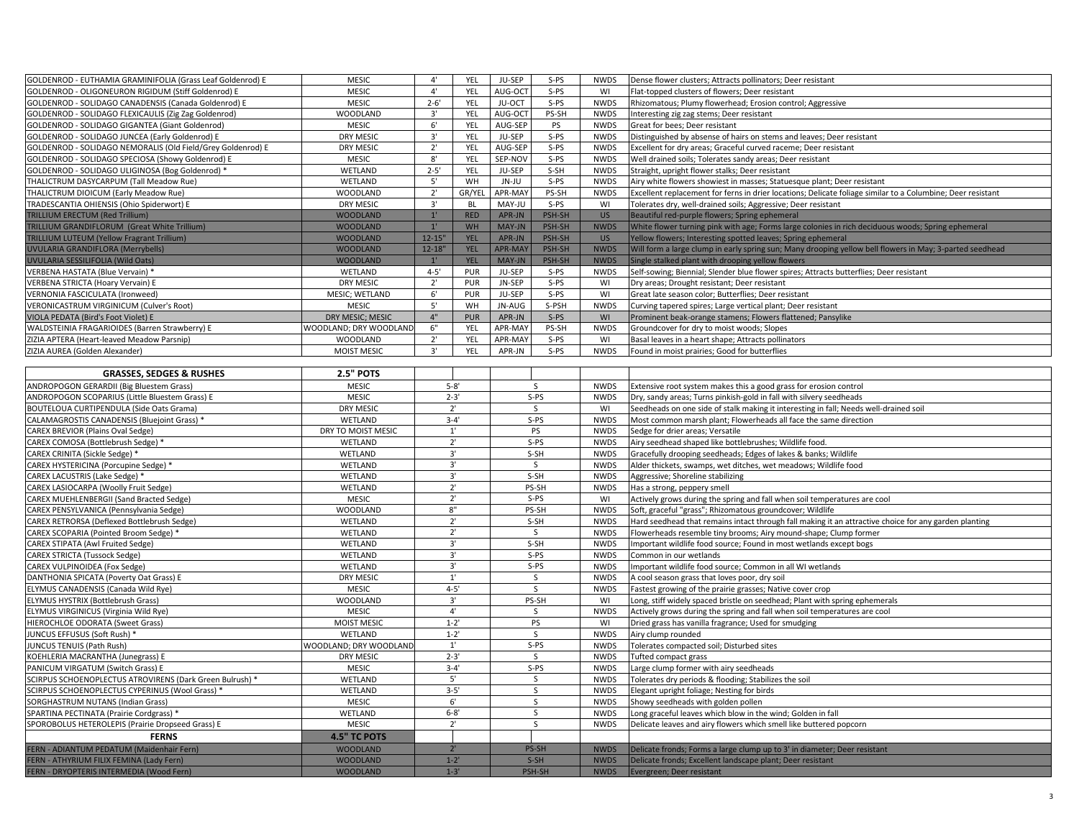| GOLDENROD - EUTHAMIA GRAMINIFOLIA (Grass Leaf Goldenrod) E  | <b>MESIC</b>           | $4^{\circ}$  | YEL        | JU-SEP         | $S-PS$       | <b>NWDS</b>                | Dense flower clusters; Attracts pollinators; Deer resistant                                                 |
|-------------------------------------------------------------|------------------------|--------------|------------|----------------|--------------|----------------------------|-------------------------------------------------------------------------------------------------------------|
| GOLDENROD - OLIGONEURON RIGIDUM (Stiff Goldenrod) E         | <b>MESIC</b>           | 4'           | YEL        | AUG-OCT        | S-PS         | WI                         | Flat-topped clusters of flowers; Deer resistant                                                             |
| GOLDENROD - SOLIDAGO CANADENSIS (Canada Goldenrod) E        | <b>MESIC</b>           | $2 - 6'$     | YEL        | JU-OCT         | $S-PS$       | <b>NWDS</b>                | Rhizomatous; Plumy flowerhead; Erosion control; Aggressive                                                  |
| GOLDENROD - SOLIDAGO FLEXICAULIS (Zig Zag Goldenrod)        | <b>WOODLAND</b>        | 3'           | YEL        | AUG-OCT        | PS-SH        | <b>NWDS</b>                | Interesting zig zag stems; Deer resistant                                                                   |
| GOLDENROD - SOLIDAGO GIGANTEA (Giant Goldenrod)             | <b>MESIC</b>           | $6^{\circ}$  | YEL        | AUG-SEP        | PS           | <b>NWDS</b>                | Great for bees; Deer resistant                                                                              |
| GOLDENROD - SOLIDAGO JUNCEA (Early Goldenrod) E             | <b>DRY MESIC</b>       | 3'           | YEL        | JU-SEP         | S-PS         | <b>NWDS</b>                | Distinguished by absense of hairs on stems and leaves; Deer resistant                                       |
| GOLDENROD - SOLIDAGO NEMORALIS (Old Field/Grey Goldenrod) E | <b>DRY MESIC</b>       | $2^{\prime}$ | YEL        | AUG-SEP        | $S-PS$       | <b>NWDS</b>                | Excellent for dry areas; Graceful curved raceme; Deer resistant                                             |
| GOLDENROD - SOLIDAGO SPECIOSA (Showy Goldenrod) E           | <b>MESIC</b>           | $8^\circ$    | YEL        | SEP-NOV        | S-PS         | <b>NWDS</b>                | Well drained soils; Tolerates sandy areas; Deer resistant                                                   |
| GOLDENROD - SOLIDAGO ULIGINOSA (Bog Goldenrod) *            | WETLAND                | $2 - 5'$     | YEL        | JU-SEP         | S-SH         | <b>NWDS</b>                | Straight, upright flower stalks; Deer resistant                                                             |
| THALICTRUM DASYCARPUM (Tall Meadow Rue)                     | WETLAND                | 5'           | WH         | JN-JU          | $S-PS$       | <b>NWDS</b>                | Airy white flowers showiest in masses; Statuesque plant; Deer resistant                                     |
| THALICTRUM DIOICUM (Early Meadow Rue)                       | <b>WOODLAND</b>        | $2^{\prime}$ | GR/YEL     | APR-MAY        | PS-SH        | <b>NWDS</b>                | Excellent replacement for ferns in drier locations; Delicate foliage similar to a Columbine; Deer resistant |
| TRADESCANTIA OHIENSIS (Ohio Spiderwort) E                   | <b>DRY MESIC</b>       | 3'           | <b>BL</b>  | MAY-JU         | $S-PS$       | WI                         | Tolerates dry, well-drained soils; Aggressive; Deer resistant                                               |
| <b>TRILLIUM ERECTUM (Red Trillium)</b>                      | <b>WOODLAND</b>        | $1^{\circ}$  | <b>RED</b> | APR-JN         | PSH-SH       | <b>US</b>                  | Beautiful red-purple flowers; Spring ephemeral                                                              |
| TRILLIUM GRANDIFLORUM (Great White Trillium)                | <b>WOODLAND</b>        | $1^{\circ}$  | WH         | MAY-JN         | PSH-SH       | <b>NWDS</b>                | White flower turning pink with age; Forms large colonies in rich deciduous woods; Spring ephemeral          |
| TRILLIUM LUTEUM (Yellow Fragrant Trillium)                  | <b>WOODLAND</b>        | $12 - 15$    | YEL        | APR-JN         | PSH-SH       | US                         | Yellow flowers; Interesting spotted leaves; Spring ephemeral                                                |
| UVULARIA GRANDIFLORA (Merrybells)                           | <b>WOODLAND</b>        | $12 - 18"$   | <b>YEL</b> | <b>APR-MAY</b> | PSH-SH       | <b>NWDS</b>                |                                                                                                             |
|                                                             | <b>WOODLAND</b>        | $1^{\circ}$  | <b>YEL</b> | MAY-JN         | PSH-SH       |                            | Will form a large clump in early spring sun; Many drooping yellow bell flowers in May; 3-parted seedhead    |
| UVULARIA SESSILIFOLIA (Wild Oats)                           |                        |              |            |                |              | <b>NWDS</b>                | Single stalked plant with drooping yellow flowers                                                           |
| VERBENA HASTATA (Blue Vervain) *                            | WETLAND                | $4 - 5'$     | PUR        | JU-SEP         | $S-PS$       | <b>NWDS</b>                | Self-sowing; Biennial; Slender blue flower spires; Attracts butterflies; Deer resistant                     |
| VERBENA STRICTA (Hoary Vervain) E                           | <b>DRY MESIC</b>       | $2^{\prime}$ | PUR        | JN-SEP         | S-PS         | WI                         | Dry areas; Drought resistant; Deer resistant                                                                |
| <b>VERNONIA FASCICULATA (Ironweed)</b>                      | MESIC; WETLAND         | 6'           | PUR        | JU-SEP         | $S-PS$       | WI                         | Great late season color; Butterflies; Deer resistant                                                        |
| VERONICASTRUM VIRGINICUM (Culver's Root)                    | <b>MESIC</b>           | $5'$         | WH         | JN-AUG         | S-PSH        | <b>NWDS</b>                | Curving tapered spires; Large vertical plant; Deer resistant                                                |
| VIOLA PEDATA (Bird's Foot Violet) E                         | DRY MESIC; MESIC       | 4"           | <b>PUR</b> | APR-JN         | $S-PS$       | WI                         | Prominent beak-orange stamens; Flowers flattened; Pansylike                                                 |
| WALDSTEINIA FRAGARIOIDES (Barren Strawberry) E              | WOODLAND; DRY WOODLAND | $6"$         | YEL        | APR-MAY        | PS-SH        | <b>NWDS</b>                | Groundcover for dry to moist woods; Slopes                                                                  |
| ZIZIA APTERA (Heart-leaved Meadow Parsnip)                  | <b>WOODLAND</b>        | $2^{\prime}$ | YEL        | APR-MAY        | $S-PS$       | WI                         | Basal leaves in a heart shape; Attracts pollinators                                                         |
| ZIZIA AUREA (Golden Alexander)                              | <b>MOIST MESIC</b>     | 3'           | YEL        | APR-JN         | $S-PS$       | <b>NWDS</b>                | Found in moist prairies; Good for butterflies                                                               |
|                                                             |                        |              |            |                |              |                            |                                                                                                             |
| <b>GRASSES, SEDGES &amp; RUSHES</b>                         | <b>2.5" POTS</b>       |              |            |                |              |                            |                                                                                                             |
| ANDROPOGON GERARDII (Big Bluestem Grass)                    | <b>MESIC</b>           | $5 - 8'$     |            | S              |              | <b>NWDS</b>                | Extensive root system makes this a good grass for erosion control                                           |
| ANDROPOGON SCOPARIUS (Little Bluestem Grass) E              | <b>MESIC</b>           | $2 - 3'$     |            | $S-PS$         |              | <b>NWDS</b>                | Dry, sandy areas; Turns pinkish-gold in fall with silvery seedheads                                         |
| BOUTELOUA CURTIPENDULA (Side Oats Grama)                    | <b>DRY MESIC</b>       | 2'           |            | <sub>S</sub>   |              | WI                         | Seedheads on one side of stalk making it interesting in fall; Needs well-drained soil                       |
| CALAMAGROSTIS CANADENSIS (Bluejoint Grass) *                | WETLAND                | $3 - 4'$     |            |                | $S-PS$       | <b>NWDS</b>                | Most common marsh plant; Flowerheads all face the same direction                                            |
| CAREX BREVIOR (Plains Oval Sedge)                           | DRY TO MOIST MESIC     | 1'           |            | PS             |              | <b>NWDS</b>                | Sedge for drier areas; Versatile                                                                            |
| CAREX COMOSA (Bottlebrush Sedge) *                          | WETLAND                |              | 2'         |                | $S-PS$       |                            | Airy seedhead shaped like bottlebrushes; Wildlife food.                                                     |
| CAREX CRINITA (Sickle Sedge) *                              | WETLAND                | 3'           |            | S-SH           |              | <b>NWDS</b><br><b>NWDS</b> | Gracefully drooping seedheads; Edges of lakes & banks; Wildlife                                             |
| CAREX HYSTERICINA (Porcupine Sedge) *                       | WETLAND                | 3'           |            |                | S            | <b>NWDS</b>                | Alder thickets, swamps, wet ditches, wet meadows; Wildlife food                                             |
| CAREX LACUSTRIS (Lake Sedge) *                              | WETLAND                | 3'           |            | S-SH           |              | <b>NWDS</b>                | Aggressive; Shoreline stabilizing                                                                           |
| CAREX LASIOCARPA (Woolly Fruit Sedge)                       | WETLAND                | 2'           |            | PS-SH          |              | <b>NWDS</b>                | Has a strong, peppery smell                                                                                 |
| CAREX MUEHLENBERGII (Sand Bracted Sedge)                    | <b>MESIC</b>           | 2'           |            | $S-PS$         |              | WI                         | Actively grows during the spring and fall when soil temperatures are cool                                   |
| CAREX PENSYLVANICA (Pennsylvania Sedge)                     | <b>WOODLAND</b>        | 8"           |            | PS-SH          |              | <b>NWDS</b>                | Soft, graceful "grass"; Rhizomatous groundcover; Wildlife                                                   |
| CAREX RETRORSA (Deflexed Bottlebrush Sedge)                 | WETLAND                | 2'           |            | S-SH           |              | <b>NWDS</b>                | Hard seedhead that remains intact through fall making it an attractive choice for any garden planting       |
| CAREX SCOPARIA (Pointed Broom Sedge) *                      | WETLAND                |              | 2'         | S              |              | <b>NWDS</b>                | Flowerheads resemble tiny brooms; Airy mound-shape; Clump former                                            |
| CAREX STIPATA (Awl Fruited Sedge)                           | WETLAND                |              | 3'         | S-SH           |              | <b>NWDS</b>                | Important wildlife food source; Found in most wetlands except bogs                                          |
| <b>CAREX STRICTA (Tussock Sedge)</b>                        | WETLAND                |              | 3'         | S-PS           |              | <b>NWDS</b>                | Common in our wetlands                                                                                      |
| CAREX VULPINOIDEA (Fox Sedge)                               | WETLAND                |              | 3'         | $S-PS$         |              | <b>NWDS</b>                | Important wildlife food source; Common in all WI wetlands                                                   |
| DANTHONIA SPICATA (Poverty Oat Grass) E                     | <b>DRY MESIC</b>       |              | 1'         | S.             |              | <b>NWDS</b>                | A cool season grass that loves poor, dry soil                                                               |
| ELYMUS CANADENSIS (Canada Wild Rye)                         | <b>MESIC</b>           |              | $4 - 5'$   | S              |              |                            |                                                                                                             |
|                                                             | <b>WOODLAND</b>        |              | 3'         |                |              | <b>NWDS</b>                | Fastest growing of the prairie grasses; Native cover crop                                                   |
| ELYMUS HYSTRIX (Bottlebrush Grass)                          |                        |              | 4'         | PS-SH          |              | WI                         | Long, stiff widely spaced bristle on seedhead; Plant with spring ephemerals                                 |
| ELYMUS VIRGINICUS (Virginia Wild Rye)                       | <b>MESIC</b>           |              |            | <sub>S</sub>   |              | <b>NWDS</b>                | Actively grows during the spring and fall when soil temperatures are cool                                   |
| HIEROCHLOE ODORATA (Sweet Grass)                            | <b>MOIST MESIC</b>     |              | $1 - 2'$   |                | PS           | WI                         | Dried grass has vanilla fragrance; Used for smudging                                                        |
| JUNCUS EFFUSUS (Soft Rush) *                                | WETLAND                |              | $1 - 2'$   |                | <sub>S</sub> | <b>NWDS</b>                | Airy clump rounded                                                                                          |
| JUNCUS TENUIS (Path Rush)                                   | WOODLAND; DRY WOODLAND |              | 1'         |                | $S-PS$       | <b>NWDS</b>                | Tolerates compacted soil; Disturbed sites                                                                   |
| KOEHLERIA MACRANTHA (Junegrass) E                           | DRY MESIC              |              | $2 - 3'$   |                | S            | <b>NWDS</b>                | Tufted compact grass                                                                                        |
| PANICUM VIRGATUM (Switch Grass) E                           | <b>MESIC</b>           |              | $3 - 4'$   | S-PS           |              | <b>NWDS</b>                | Large clump former with airy seedheads                                                                      |
| SCIRPUS SCHOENOPLECTUS ATROVIRENS (Dark Green Bulrush) *    | WETLAND                |              | $5'$       | S              |              | <b>NWDS</b>                | Tolerates dry periods & flooding; Stabilizes the soil                                                       |
| SCIRPUS SCHOENOPLECTUS CYPERINUS (Wool Grass) *             | WETLAND                |              | $3 - 5'$   | S              |              | <b>NWDS</b>                | Elegant upright foliage; Nesting for birds                                                                  |
| SORGHASTRUM NUTANS (Indian Grass)                           | <b>MESIC</b>           |              | 6'         | S              |              | <b>NWDS</b>                | Showy seedheads with golden pollen                                                                          |
| SPARTINA PECTINATA (Prairie Cordgrass) *                    | WETLAND                |              | $6 - 8'$   | S              |              | <b>NWDS</b>                | Long graceful leaves which blow in the wind; Golden in fall                                                 |
| SPOROBOLUS HETEROLEPIS (Prairie Dropseed Grass) E           | <b>MESIC</b>           |              | 2'         | <sub>S</sub>   |              | <b>NWDS</b>                | Delicate leaves and airy flowers which smell like buttered popcorn                                          |
| <b>FERNS</b>                                                | <b>4.5" TC POTS</b>    |              |            |                |              |                            |                                                                                                             |
| FERN - ADIANTUM PEDATUM (Maidenhair Fern)                   | <b>WOODLAND</b>        |              | 2'         |                | PS-SH        | <b>NWDS</b>                | Delicate fronds; Forms a large clump up to 3' in diameter; Deer resistant                                   |
| FERN - ATHYRIUM FILIX FEMINA (Lady Fern)                    | <b>WOODLAND</b>        |              | $1 - 2'$   |                | $S-SH$       | <b>NWDS</b>                | Delicate fronds; Excellent landscape plant; Deer resistant                                                  |
| FERN - DRYOPTERIS INTERMEDIA (Wood Fern)                    | <b>WOODLAND</b>        |              | $1 - 3'$   |                | PSH-SH       | <b>NWDS</b>                | Evergreen; Deer resistant                                                                                   |
|                                                             |                        |              |            |                |              |                            |                                                                                                             |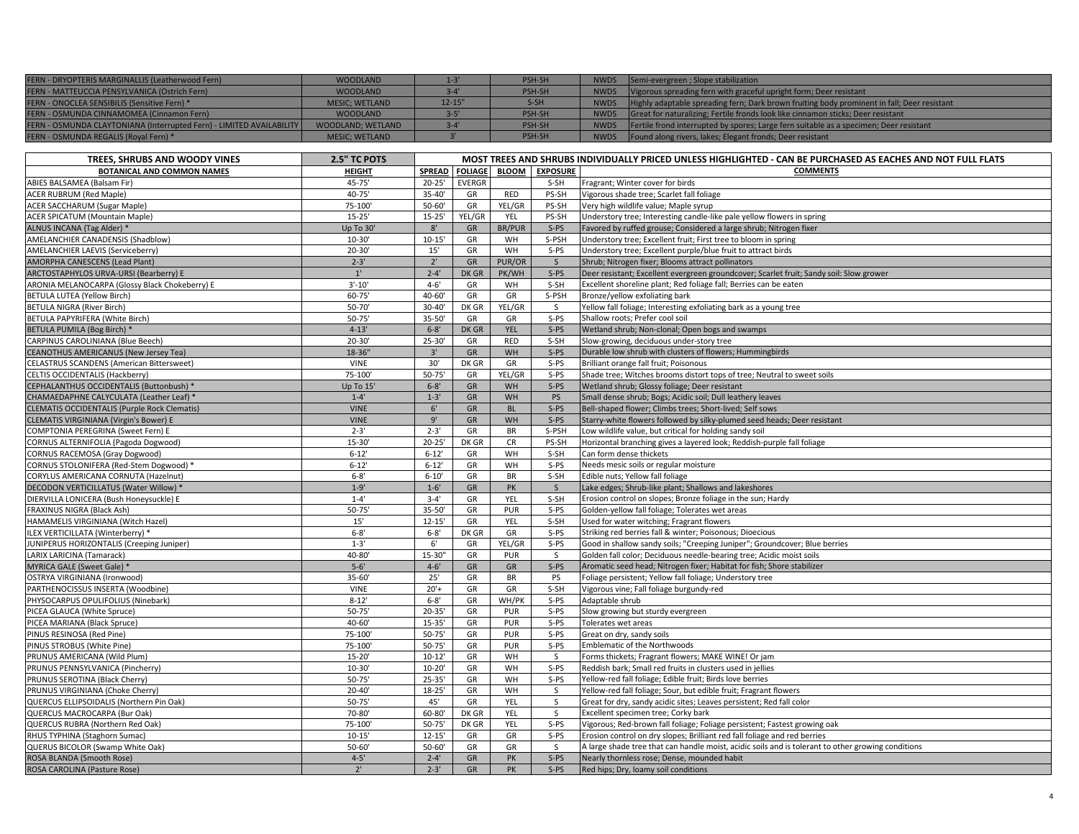| FERN - DRYOPTERIS MARGINALLIS (Leatherwood Fern)                     | <b>WOODLAND</b>       |           | PSH-SH |             | NWDS Semi-evergreen ; Slope stabilization                                                   |
|----------------------------------------------------------------------|-----------------------|-----------|--------|-------------|---------------------------------------------------------------------------------------------|
| FERN - MATTEUCCIA PENSYLVANICA (Ostrich Fern)                        | <b>WOODLAND</b>       |           | PSH-SH | <b>NWDS</b> | Vigorous spreading fern with graceful upright form; Deer resistant                          |
| FERN - ONOCLEA SENSIBILIS (Sensitive Fern) *                         | <b>MESIC: WETLAND</b> | $12 - 15$ | $S-SH$ | <b>NWDS</b> | Highly adaptable spreading fern; Dark brown fruiting body prominent in fall; Deer resistant |
| FERN - OSMUNDA CINNAMOMEA (Cinnamon Fern)                            | <b>WOODLAND</b>       |           | PSH-SH | <b>NWDS</b> | Great for naturalizing; Fertile fronds look like cinnamon sticks; Deer resistant            |
| FERN - OSMUNDA CLAYTONIANA (Interrupted Fern) - LIMITED AVAILABILITY | WOODLAND; WETLAND     |           | PSH-SH | <b>NWDS</b> | Fertile frond interrupted by spores; Large fern suitable as a specimen; Deer resistant      |
| FERN - OSMUNDA REGALIS (Royal Fern) *                                | <b>MESIC: WETLAND</b> |           | PSH-SH | <b>NWDS</b> | Found along rivers, lakes; Elegant fronds; Deer resistant                                   |

| TREES, SHRUBS AND WOODY VINES                                                | 2.5" TC POTS             | MOST TREES AND SHRUBS INDIVIDUALLY PRICED UNLESS HIGHLIGHTED - CAN BE PURCHASED AS EACHES AND NOT FULL FLATS |                |                  |                       |                                                                                                                   |  |  |
|------------------------------------------------------------------------------|--------------------------|--------------------------------------------------------------------------------------------------------------|----------------|------------------|-----------------------|-------------------------------------------------------------------------------------------------------------------|--|--|
| <b>BOTANICAL AND COMMON NAMES</b>                                            | <b>HEIGHT</b>            | <b>SPREAD</b>                                                                                                | <b>FOLIAGE</b> |                  | <b>BLOOM</b> EXPOSURE | <b>COMMENTS</b>                                                                                                   |  |  |
| ABIES BALSAMEA (Balsam Fir)                                                  | 45-75'                   | $20 - 25'$                                                                                                   | <b>EVERGR</b>  |                  | S-SH                  | Fragrant; Winter cover for birds                                                                                  |  |  |
| <b>ACER RUBRUM (Red Maple)</b>                                               | 40-75'                   | $35 - 40'$                                                                                                   | GR             | <b>RED</b>       | PS-SH                 | Vigorous shade tree; Scarlet fall foliage                                                                         |  |  |
| <b>ACER SACCHARUM (Sugar Maple)</b>                                          | 75-100'                  | $50 - 60'$                                                                                                   | GR             | YEL/GR           | PS-SH                 | Very high wildlife value; Maple syrup                                                                             |  |  |
| <b>ACER SPICATUM (Mountain Maple)</b>                                        | $15 - 25'$               | $15 - 25'$                                                                                                   | YEL/GR         | YEL              | PS-SH                 | Understory tree; Interesting candle-like pale yellow flowers in spring                                            |  |  |
| ALNUS INCANA (Tag Alder) *                                                   | Up To 30'                | $8'$                                                                                                         | GR             | <b>BR/PUR</b>    | $S-PS$                | Favored by ruffed grouse; Considered a large shrub; Nitrogen fixer                                                |  |  |
| AMELANCHIER CANADENSIS (Shadblow)                                            | $10 - 30'$               | $10 - 15'$                                                                                                   | GR             | WH               | S-PSH                 | Understory tree; Excellent fruit; First tree to bloom in spring                                                   |  |  |
| AMELANCHIER LAEVIS (Serviceberry)                                            | $20 - 30'$               | $15'$                                                                                                        | GR             | WH               | $S-PS$                | Understory tree; Excellent purple/blue fruit to attract birds                                                     |  |  |
| AMORPHA CANESCENS (Lead Plant)                                               | $2 - 3'$                 | $2^{\circ}$                                                                                                  | GR             | PUR/OR           | S                     | Shrub; Nitrogen fixer; Blooms attract pollinators                                                                 |  |  |
| ARCTOSTAPHYLOS URVA-URSI (Bearberry) E                                       | $1^{\circ}$              | $2 - 4'$                                                                                                     | DK GR          | PK/WH            | $S-PS$                | Deer resistant; Excellent evergreen groundcover; Scarlet fruit; Sandy soil: Slow grower                           |  |  |
| ARONIA MELANOCARPA (Glossy Black Chokeberry) E                               | $3'-10'$                 | $4 - 6'$                                                                                                     | GR             | WH               | S-SH                  | Excellent shoreline plant; Red foliage fall; Berries can be eaten                                                 |  |  |
| BETULA LUTEA (Yellow Birch)                                                  | 60-75'                   | 40-60'                                                                                                       | GR             | GR               | S-PSH                 | Bronze/yellow exfoliating bark                                                                                    |  |  |
| BETULA NIGRA (River Birch)                                                   | 50-70'                   | 30-40'                                                                                                       | DK GR          | YEL/GR           | S.                    | Yellow fall foliage; Interesting exfoliating bark as a young tree                                                 |  |  |
| BETULA PAPYRIFERA (White Birch)                                              | $50 - 75'$               | 35-50'                                                                                                       | GR             | GR               | $S-PS$                | Shallow roots; Prefer cool soil                                                                                   |  |  |
| BETULA PUMILA (Bog Birch) *                                                  | $4 - 13'$                | $6 - 8'$                                                                                                     | DK GR          | <b>YEL</b>       | $S-PS$                | Wetland shrub; Non-clonal; Open bogs and swamps                                                                   |  |  |
| CARPINUS CAROLINIANA (Blue Beech)                                            | $20 - 30'$               | $25 - 30'$                                                                                                   | GR             | <b>RED</b>       | $S-SH$                | Slow-growing, deciduous under-story tree                                                                          |  |  |
| <b>CEANOTHUS AMERICANUS (New Jersey Tea)</b>                                 | 18-36"                   | 3'                                                                                                           | GR             | <b>WH</b>        | $S-PS$                | Durable low shrub with clusters of flowers; Hummingbirds                                                          |  |  |
| <b>CELASTRUS SCANDENS (American Bittersweet)</b>                             | <b>VINE</b>              | 30'                                                                                                          | DK GR          | GR               | $S-PS$                | Brilliant orange fall fruit; Poisonous                                                                            |  |  |
| CELTIS OCCIDENTALIS (Hackberry)                                              | 75-100'                  | $50 - 75'$                                                                                                   | GR             | YEL/GR           | $S-PS$                | Shade tree; Witches brooms distort tops of tree; Neutral to sweet soils                                           |  |  |
| CEPHALANTHUS OCCIDENTALIS (Buttonbush) *                                     | Up To 15'                | $6 - 8'$                                                                                                     | ${\sf GR}$     | <b>WH</b>        | $S-PS$                | Wetland shrub; Glossy foliage; Deer resistant                                                                     |  |  |
| CHAMAEDAPHNE CALYCULATA (Leather Leaf) *                                     | $1 - 4'$                 | $1 - 3'$                                                                                                     | GR             | <b>WH</b>        | <b>PS</b>             | Small dense shrub; Bogs; Acidic soil; Dull leathery leaves                                                        |  |  |
| <b>CLEMATIS OCCIDENTALIS (Purple Rock Clematis)</b>                          | <b>VINE</b>              | 6'                                                                                                           | GR             | <b>BL</b>        | $S-PS$                | Bell-shaped flower; Climbs trees; Short-lived; Self sows                                                          |  |  |
| CLEMATIS VIRGINIANA (Virgin's Bower) E                                       | <b>VINE</b>              | 9'                                                                                                           | GR             | <b>WH</b>        | $S-PS$                | Starry-white flowers followed by silky-plumed seed heads; Deer resistant                                          |  |  |
| COMPTONIA PEREGRINA (Sweet Fern) E                                           | $2 - 3'$                 | $2 - 3'$                                                                                                     | GR             | <b>BR</b>        | S-PSH                 | Low wildlife value, but critical for holding sandy soil                                                           |  |  |
| CORNUS ALTERNIFOLIA (Pagoda Dogwood)                                         | 15-30'                   | $20 - 25'$                                                                                                   | DK GR          | <b>CR</b>        | PS-SH                 | Horizontal branching gives a layered look; Reddish-purple fall foliage                                            |  |  |
| CORNUS RACEMOSA (Gray Dogwood)                                               | $6 - 12'$                | $6 - 12'$                                                                                                    | GR             | WH               | S-SH                  | Can form dense thickets                                                                                           |  |  |
| CORNUS STOLONIFERA (Red-Stem Dogwood) *                                      | $6 - 12'$                | $6 - 12'$                                                                                                    | GR             | WH               | $S-PS$                | Needs mesic soils or regular moisture                                                                             |  |  |
| CORYLUS AMERICANA CORNUTA (Hazelnut)                                         | $6 - 8'$                 | $6 - 10'$                                                                                                    | GR             | <b>BR</b>        | S-SH                  | Edible nuts; Yellow fall foliage                                                                                  |  |  |
| DECODON VERTICILLATUS (Water Willow) *                                       | $1 - 9'$                 | $1 - 6'$                                                                                                     | GR             | PK               | <sub>S</sub>          | Lake edges; Shrub-like plant; Shallows and lakeshores                                                             |  |  |
| DIERVILLA LONICERA (Bush Honeysuckle) E                                      | $1 - 4'$                 | $3 - 4'$                                                                                                     | GR             | YEL              | S-SH                  | Erosion control on slopes; Bronze foliage in the sun; Hardy                                                       |  |  |
| FRAXINUS NIGRA (Black Ash)                                                   | $50 - 75'$               | 35-50'                                                                                                       | GR             | <b>PUR</b>       | $S-PS$                | Golden-yellow fall foliage; Tolerates wet areas                                                                   |  |  |
| HAMAMELIS VIRGINIANA (Witch Hazel)                                           | 15'                      | $12 - 15'$                                                                                                   | GR             | <b>YEL</b>       | S-SH                  | Used for water witching; Fragrant flowers                                                                         |  |  |
| ILEX VERTICILLATA (Winterberry) *                                            | $6 - 8'$                 | $6 - 8'$                                                                                                     | DK GR          | GR               | $S-PS$                | Striking red berries fall & winter; Poisonous; Dioecious                                                          |  |  |
| UNIPERUS HORIZONTALIS (Creeping Juniper)                                     | $1 - 3'$                 | $6^{\circ}$                                                                                                  | GR             | YEL/GR           | $S-PS$                | Good in shallow sandy soils; "Creeping Juniper"; Groundcover; Blue berries                                        |  |  |
| LARIX LARICINA (Tamarack)                                                    | 40-80'                   | 15-30"                                                                                                       | GR             | PUR              | S.                    | Golden fall color; Deciduous needle-bearing tree; Acidic moist soils                                              |  |  |
| MYRICA GALE (Sweet Gale) *                                                   | $5 - 6'$                 | $4 - 6'$                                                                                                     | GR             | GR               | $S-PS$                | Aromatic seed head; Nitrogen fixer; Habitat for fish; Shore stabilizer                                            |  |  |
| OSTRYA VIRGINIANA (Ironwood)                                                 | 35-60'                   | 25'                                                                                                          | GR             | <b>BR</b>        | PS                    | Foliage persistent; Yellow fall foliage; Understory tree                                                          |  |  |
| PARTHENOCISSUS INSERTA (Woodbine)                                            | <b>VINE</b>              | $20'+$                                                                                                       | GR             | GR               | S-SH                  | Vigorous vine; Fall foliage burgundy-red                                                                          |  |  |
| PHYSOCARPUS OPULIFOLIUS (Ninebark)                                           | $8 - 12'$                | $6 - 8'$                                                                                                     | GR             | WH/PK            | $S-PS$                | Adaptable shrub                                                                                                   |  |  |
| PICEA GLAUCA (White Spruce)                                                  | $50 - 75'$               | $20 - 35'$                                                                                                   | GR             | PUR              | $S-PS$                | Slow growing but sturdy evergreen                                                                                 |  |  |
|                                                                              | 40-60'                   | $15 - 35'$                                                                                                   | GR             | PUR              | $S-PS$                |                                                                                                                   |  |  |
| PICEA MARIANA (Black Spruce)<br>PINUS RESINOSA (Red Pine)                    | 75-100                   | $50 - 75'$                                                                                                   | GR             | PUR              | $S-PS$                | Tolerates wet areas<br>Great on dry, sandy soils                                                                  |  |  |
|                                                                              | 75-100'                  | $50 - 75'$                                                                                                   | GR             | PUR              | $S-PS$                | Emblematic of the Northwoods                                                                                      |  |  |
| PINUS STROBUS (White Pine)                                                   | $15 - 20'$               | $10 - 12'$                                                                                                   | GR             | WH               | S                     |                                                                                                                   |  |  |
| PRUNUS AMERICANA (Wild Plum)                                                 | $10 - 30'$               | $10 - 20'$                                                                                                   | GR             | WH               | $S-PS$                | Forms thickets; Fragrant flowers; MAKE WINE! Or jam<br>Reddish bark; Small red fruits in clusters used in jellies |  |  |
| PRUNUS PENNSYLVANICA (Pincherry)                                             | $50 - 75'$               |                                                                                                              | GR             | WH               | $S-PS$                |                                                                                                                   |  |  |
| PRUNUS SEROTINA (Black Cherry)                                               |                          | $25 - 35'$                                                                                                   |                |                  |                       | Yellow-red fall foliage; Edible fruit; Birds love berries                                                         |  |  |
| PRUNUS VIRGINIANA (Choke Cherry)<br>QUERCUS ELLIPSOIDALIS (Northern Pin Oak) | $20 - 40'$<br>$50 - 75'$ | $18 - 25'$<br>45'                                                                                            | GR<br>GR       | WH<br><b>YEL</b> | S.<br>S               | Yellow-red fall foliage; Sour, but edible fruit; Fragrant flowers                                                 |  |  |
|                                                                              |                          |                                                                                                              |                |                  |                       | Great for dry, sandy acidic sites; Leaves persistent; Red fall color                                              |  |  |
| QUERCUS MACROCARPA (Bur Oak)                                                 | 70-80                    | $60 - 80'$                                                                                                   | DK GR          | YEL              | S                     | Excellent specimen tree; Corky bark                                                                               |  |  |
| QUERCUS RUBRA (Northern Red Oak)                                             | 75-100                   | $50 - 75'$                                                                                                   | DK GR          | YEL              | $S-PS$                | Vigorous; Red-brown fall foliage; Foliage persistent; Fastest growing oak                                         |  |  |
| RHUS TYPHINA (Staghorn Sumac)                                                | $10 - 15'$               | $12 - 15'$                                                                                                   | GR             | GR               | $S-PS$                | Erosion control on dry slopes; Brilliant red fall foliage and red berries                                         |  |  |
| <b>QUERUS BICOLOR (Swamp White Oak)</b>                                      | $50 - 60'$               | $50 - 60'$                                                                                                   | GR             | GR               | <sub>S</sub>          | A large shade tree that can handle moist, acidic soils and is tolerant to other growing conditions                |  |  |
| ROSA BLANDA (Smooth Rose)                                                    | $4 - 5'$                 | $2 - 4'$                                                                                                     | GR             | <b>PK</b>        | $S-PS$                | Nearly thornless rose; Dense, mounded habit                                                                       |  |  |
| ROSA CAROLINA (Pasture Rose)                                                 | 2'                       | $2 - 3'$                                                                                                     | GR             | <b>PK</b>        | $S-PS$                | Red hips; Dry, loamy soil conditions                                                                              |  |  |